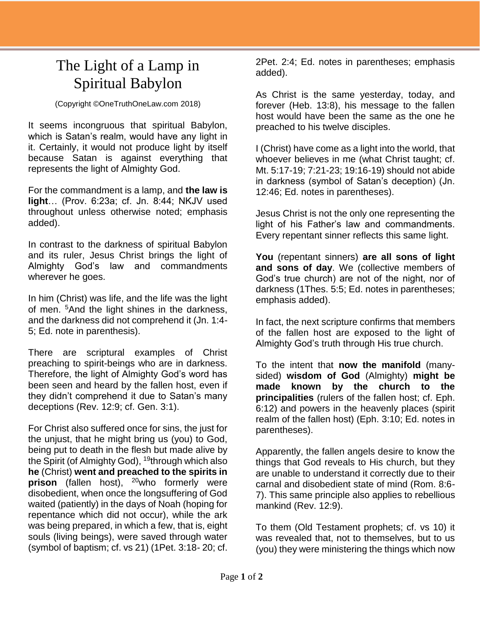## The Light of a Lamp in Spiritual Babylon

(Copyright ©OneTruthOneLaw.com 2018)

It seems incongruous that spiritual Babylon, which is Satan's realm, would have any light in it. Certainly, it would not produce light by itself because Satan is against everything that represents the light of Almighty God.

For the commandment is a lamp, and **the law is light**… (Prov. 6:23a; cf. Jn. 8:44; NKJV used throughout unless otherwise noted; emphasis added).

In contrast to the darkness of spiritual Babylon and its ruler, Jesus Christ brings the light of Almighty God's law and commandments wherever he goes.

In him (Christ) was life, and the life was the light of men. <sup>5</sup>And the light shines in the darkness, and the darkness did not comprehend it (Jn. 1:4- 5; Ed. note in parenthesis).

There are scriptural examples of Christ preaching to spirit-beings who are in darkness. Therefore, the light of Almighty God's word has been seen and heard by the fallen host, even if they didn't comprehend it due to Satan's many deceptions (Rev. 12:9; cf. Gen. 3:1).

For Christ also suffered once for sins, the just for the unjust, that he might bring us (you) to God, being put to death in the flesh but made alive by the Spirit (of Almighty God), <sup>19</sup>through which also **he** (Christ) **went and preached to the spirits in prison** (fallen host), <sup>20</sup>who formerly were disobedient, when once the longsuffering of God waited (patiently) in the days of Noah (hoping for repentance which did not occur), while the ark was being prepared, in which a few, that is, eight souls (living beings), were saved through water (symbol of baptism; cf. vs 21) (1Pet. 3:18- 20; cf.

2Pet. 2:4; Ed. notes in parentheses; emphasis added).

As Christ is the same yesterday, today, and forever (Heb. 13:8), his message to the fallen host would have been the same as the one he preached to his twelve disciples.

I (Christ) have come as a light into the world, that whoever believes in me (what Christ taught; cf. Mt. 5:17-19; 7:21-23; 19:16-19) should not abide in darkness (symbol of Satan's deception) (Jn. 12:46; Ed. notes in parentheses).

Jesus Christ is not the only one representing the light of his Father's law and commandments. Every repentant sinner reflects this same light.

**You** (repentant sinners) **are all sons of light and sons of day**. We (collective members of God's true church) are not of the night, nor of darkness (1Thes. 5:5; Ed. notes in parentheses; emphasis added).

In fact, the next scripture confirms that members of the fallen host are exposed to the light of Almighty God's truth through His true church.

To the intent that **now the manifold** (manysided) **wisdom of God** (Almighty) **might be made known by the church to the principalities** (rulers of the fallen host; cf. Eph. 6:12) and powers in the heavenly places (spirit realm of the fallen host) (Eph. 3:10; Ed. notes in parentheses).

Apparently, the fallen angels desire to know the things that God reveals to His church, but they are unable to understand it correctly due to their carnal and disobedient state of mind (Rom. 8:6- 7). This same principle also applies to rebellious mankind (Rev. 12:9).

To them (Old Testament prophets; cf. vs 10) it was revealed that, not to themselves, but to us (you) they were ministering the things which now